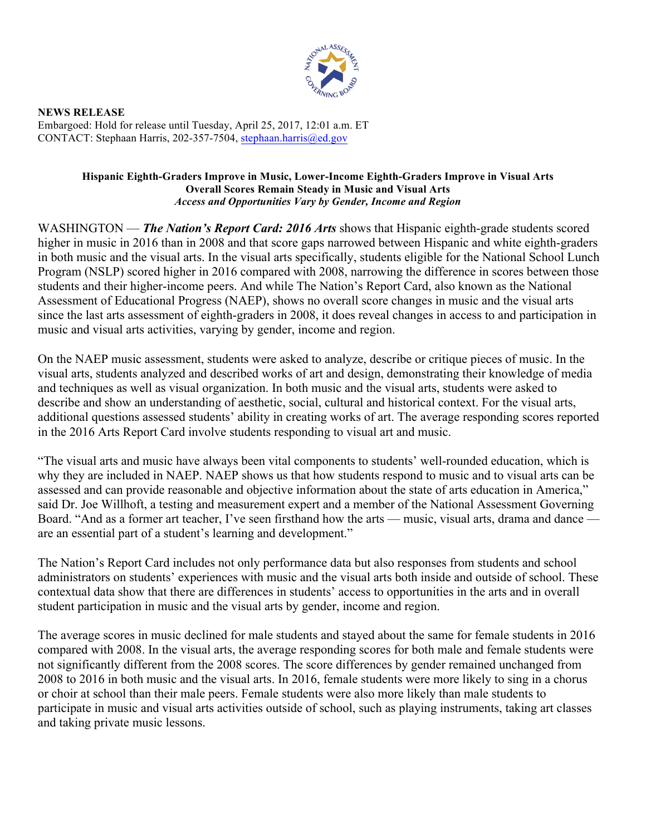

 Embargoed: Hold for release until Tuesday, April 25, 2017, 12:01 a.m. ET CONTACT: Stephaan Harris, 202-357-7504, stephaan.harris@ed.gov **NEWS RELEASE** 

## **Hispanic Eighth-Graders Improve in Music, Lower-Income Eighth-Graders Improve in Visual Arts**  *Access and Opportunities Vary by Gender, Income and Region*  **Overall Scores Remain Steady in Music and Visual Arts**

 WASHINGTON — *The Nation's Report Card: 2016 Arts* shows that Hispanic eighth-grade students scored higher in music in 2016 than in 2008 and that score gaps narrowed between Hispanic and white eighth-graders in both music and the visual arts. In the visual arts specifically, students eligible for the National School Lunch Assessment of Educational Progress (NAEP), shows no overall score changes in music and the visual arts music and visual arts activities, varying by gender, income and region. Program (NSLP) scored higher in 2016 compared with 2008, narrowing the difference in scores between those students and their higher-income peers. And while The Nation's Report Card, also known as the National since the last arts assessment of eighth-graders in 2008, it does reveal changes in access to and participation in

 On the NAEP music assessment, students were asked to analyze, describe or critique pieces of music. In the describe and show an understanding of aesthetic, social, cultural and historical context. For the visual arts, in the 2016 Arts Report Card involve students responding to visual art and music. visual arts, students analyzed and described works of art and design, demonstrating their knowledge of media and techniques as well as visual organization. In both music and the visual arts, students were asked to additional questions assessed students' ability in creating works of art. The average responding scores reported

 Board. "And as a former art teacher, I've seen firsthand how the arts — music, visual arts, drama and dance — are an essential part of a student's learning and development." "The visual arts and music have always been vital components to students' well-rounded education, which is why they are included in NAEP. NAEP shows us that how students respond to music and to visual arts can be assessed and can provide reasonable and objective information about the state of arts education in America," said Dr. Joe Willhoft, a testing and measurement expert and a member of the National Assessment Governing

 The Nation's Report Card includes not only performance data but also responses from students and school administrators on students' experiences with music and the visual arts both inside and outside of school. These contextual data show that there are differences in students' access to opportunities in the arts and in overall student participation in music and the visual arts by gender, income and region.

 The average scores in music declined for male students and stayed about the same for female students in 2016 not significantly different from the 2008 scores. The score differences by gender remained unchanged from compared with 2008. In the visual arts, the average responding scores for both male and female students were 2008 to 2016 in both music and the visual arts. In 2016, female students were more likely to sing in a chorus or choir at school than their male peers. Female students were also more likely than male students to participate in music and visual arts activities outside of school, such as playing instruments, taking art classes and taking private music lessons.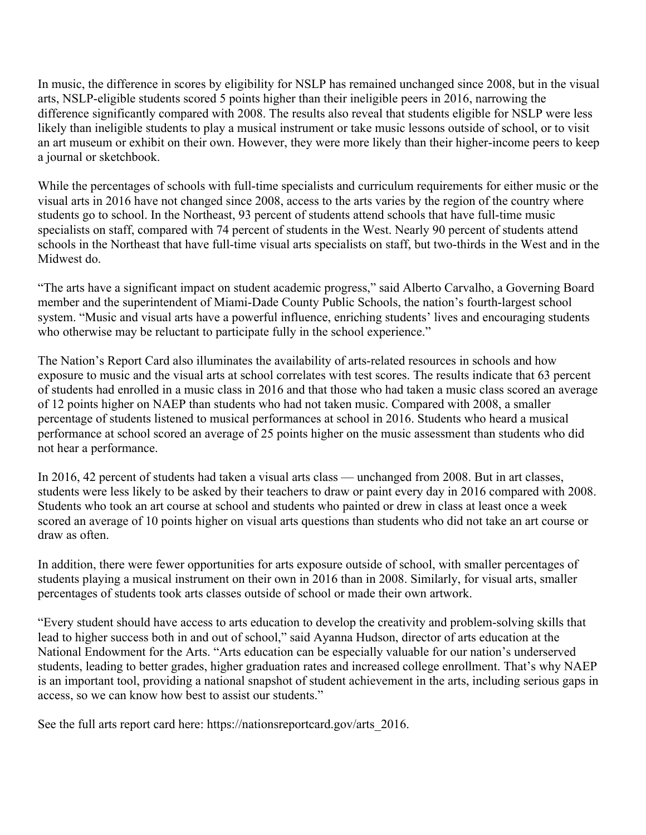In music, the difference in scores by eligibility for NSLP has remained unchanged since 2008, but in the visual difference significantly compared with 2008. The results also reveal that students eligible for NSLP were less likely than ineligible students to play a musical instrument or take music lessons outside of school, or to visit arts, NSLP-eligible students scored 5 points higher than their ineligible peers in 2016, narrowing the an art museum or exhibit on their own. However, they were more likely than their higher-income peers to keep a journal or sketchbook.

 visual arts in 2016 have not changed since 2008, access to the arts varies by the region of the country where students go to school. In the Northeast, 93 percent of students attend schools that have full-time music specialists on staff, compared with 74 percent of students in the West. Nearly 90 percent of students attend schools in the Northeast that have full-time visual arts specialists on staff, but two-thirds in the West and in the While the percentages of schools with full-time specialists and curriculum requirements for either music or the Midwest do.

"The arts have a significant impact on student academic progress," said Alberto Carvalho, a Governing Board member and the superintendent of Miami-Dade County Public Schools, the nation's fourth-largest school system. "Music and visual arts have a powerful influence, enriching students' lives and encouraging students who otherwise may be reluctant to participate fully in the school experience."

 The Nation's Report Card also illuminates the availability of arts-related resources in schools and how exposure to music and the visual arts at school correlates with test scores. The results indicate that 63 percent of students had enrolled in a music class in 2016 and that those who had taken a music class scored an average of 12 points higher on NAEP than students who had not taken music. Compared with 2008, a smaller percentage of students listened to musical performances at school in 2016. Students who heard a musical performance at school scored an average of 25 points higher on the music assessment than students who did not hear a performance.

 In 2016, 42 percent of students had taken a visual arts class — unchanged from 2008. But in art classes, students were less likely to be asked by their teachers to draw or paint every day in 2016 compared with 2008. Students who took an art course at school and students who painted or drew in class at least once a week scored an average of 10 points higher on visual arts questions than students who did not take an art course or draw as often.

 students playing a musical instrument on their own in 2016 than in 2008. Similarly, for visual arts, smaller percentages of students took arts classes outside of school or made their own artwork. In addition, there were fewer opportunities for arts exposure outside of school, with smaller percentages of

 "Every student should have access to arts education to develop the creativity and problem-solving skills that access, so we can know how best to assist our students." lead to higher success both in and out of school," said Ayanna Hudson, director of arts education at the National Endowment for the Arts. "Arts education can be especially valuable for our nation's underserved students, leading to better grades, higher graduation rates and increased college enrollment. That's why NAEP is an important tool, providing a national snapshot of student achievement in the arts, including serious gaps in

See the full arts report card here: https://nationsreportcard.gov/arts\_2016.